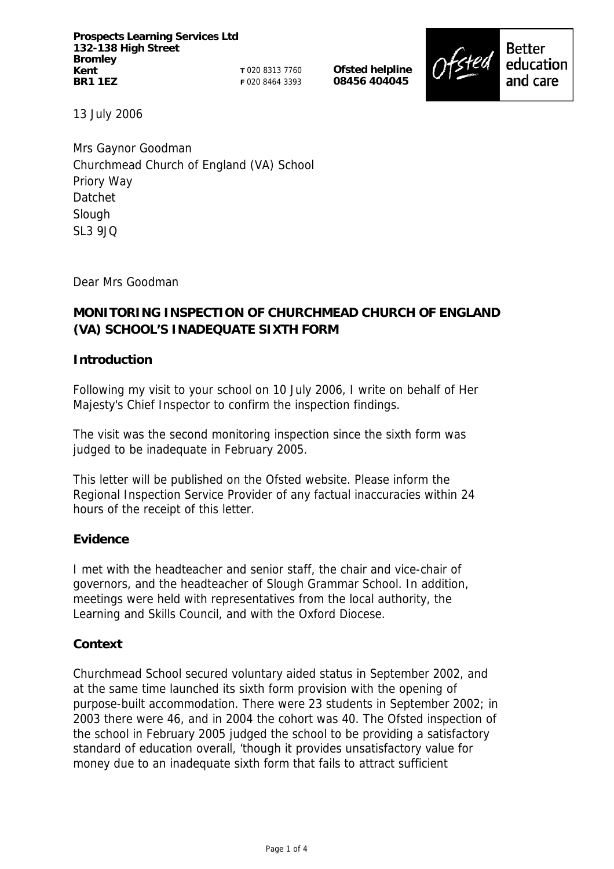**T** 020 8313 7760 **F** 020 8464 3393 **Ofsted helpline 08456 404045** 



13 July 2006

Mrs Gaynor Goodman Churchmead Church of England (VA) School Priory Way Datchet Slough SL3 9JQ

Dear Mrs Goodman

# **MONITORING INSPECTION OF CHURCHMEAD CHURCH OF ENGLAND (VA) SCHOOL'S INADEQUATE SIXTH FORM**

### **Introduction**

Following my visit to your school on 10 July 2006, I write on behalf of Her Majesty's Chief Inspector to confirm the inspection findings.

The visit was the second monitoring inspection since the sixth form was judged to be inadequate in February 2005.

This letter will be published on the Ofsted website. Please inform the Regional Inspection Service Provider of any factual inaccuracies within 24 hours of the receipt of this letter.

### **Evidence**

I met with the headteacher and senior staff, the chair and vice-chair of governors, and the headteacher of Slough Grammar School. In addition, meetings were held with representatives from the local authority, the Learning and Skills Council, and with the Oxford Diocese.

### **Context**

Churchmead School secured voluntary aided status in September 2002, and at the same time launched its sixth form provision with the opening of purpose-built accommodation. There were 23 students in September 2002; in 2003 there were 46, and in 2004 the cohort was 40. The Ofsted inspection of the school in February 2005 judged the school to be providing a satisfactory standard of education overall, 'though it provides unsatisfactory value for money due to an inadequate sixth form that fails to attract sufficient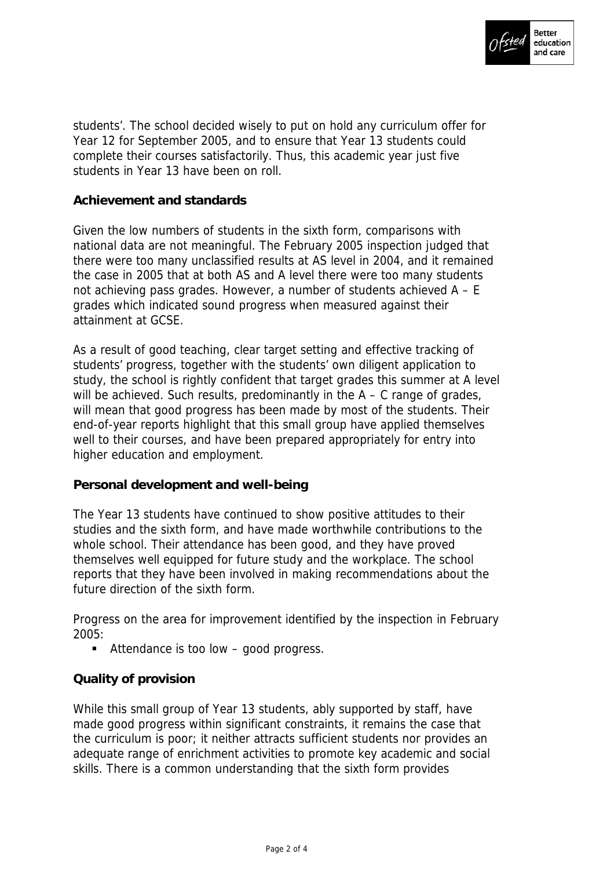

students'. The school decided wisely to put on hold any curriculum offer for Year 12 for September 2005, and to ensure that Year 13 students could complete their courses satisfactorily. Thus, this academic year just five students in Year 13 have been on roll.

#### **Achievement and standards**

Given the low numbers of students in the sixth form, comparisons with national data are not meaningful. The February 2005 inspection judged that there were too many unclassified results at AS level in 2004, and it remained the case in 2005 that at both AS and A level there were too many students not achieving pass grades. However, a number of students achieved A – E grades which indicated sound progress when measured against their attainment at GCSE.

As a result of good teaching, clear target setting and effective tracking of students' progress, together with the students' own diligent application to study, the school is rightly confident that target grades this summer at A level will be achieved. Such results, predominantly in the A - C range of grades, will mean that good progress has been made by most of the students. Their end-of-year reports highlight that this small group have applied themselves well to their courses, and have been prepared appropriately for entry into higher education and employment.

#### **Personal development and well-being**

The Year 13 students have continued to show positive attitudes to their studies and the sixth form, and have made worthwhile contributions to the whole school. Their attendance has been good, and they have proved themselves well equipped for future study and the workplace. The school reports that they have been involved in making recommendations about the future direction of the sixth form.

Progress on the area for improvement identified by the inspection in February 2005:

Attendance is too low – good progress.

### **Quality of provision**

While this small group of Year 13 students, ably supported by staff, have made good progress within significant constraints, it remains the case that the curriculum is poor; it neither attracts sufficient students nor provides an adequate range of enrichment activities to promote key academic and social skills. There is a common understanding that the sixth form provides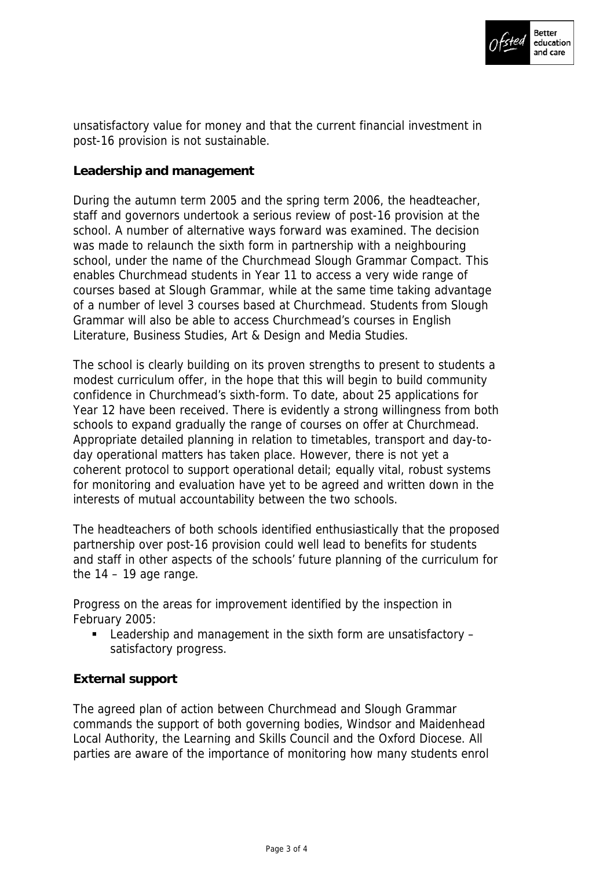

unsatisfactory value for money and that the current financial investment in post-16 provision is not sustainable.

## **Leadership and management**

During the autumn term 2005 and the spring term 2006, the headteacher, staff and governors undertook a serious review of post-16 provision at the school. A number of alternative ways forward was examined. The decision was made to relaunch the sixth form in partnership with a neighbouring school, under the name of the Churchmead Slough Grammar Compact. This enables Churchmead students in Year 11 to access a very wide range of courses based at Slough Grammar, while at the same time taking advantage of a number of level 3 courses based at Churchmead. Students from Slough Grammar will also be able to access Churchmead's courses in English Literature, Business Studies, Art & Design and Media Studies.

The school is clearly building on its proven strengths to present to students a modest curriculum offer, in the hope that this will begin to build community confidence in Churchmead's sixth-form. To date, about 25 applications for Year 12 have been received. There is evidently a strong willingness from both schools to expand gradually the range of courses on offer at Churchmead. Appropriate detailed planning in relation to timetables, transport and day-today operational matters has taken place. However, there is not yet a coherent protocol to support operational detail; equally vital, robust systems for monitoring and evaluation have yet to be agreed and written down in the interests of mutual accountability between the two schools.

The headteachers of both schools identified enthusiastically that the proposed partnership over post-16 provision could well lead to benefits for students and staff in other aspects of the schools' future planning of the curriculum for the  $14 - 19$  age range.

Progress on the areas for improvement identified by the inspection in February 2005:

■ Leadership and management in the sixth form are unsatisfactory – satisfactory progress.

### **External support**

The agreed plan of action between Churchmead and Slough Grammar commands the support of both governing bodies, Windsor and Maidenhead Local Authority, the Learning and Skills Council and the Oxford Diocese. All parties are aware of the importance of monitoring how many students enrol